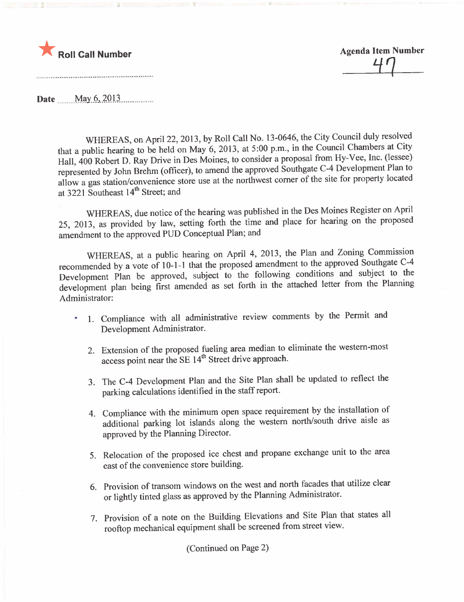

Roll Call Number<br>
24

Date \_\_\_ May 6, 2013

WHEREAS, on April 22, 2013, by Roll Call No. 13-0646, the City Council duly resolved that a public hearing to be held on May 6, 2013, at 5:00 p.m., in the Council Chambers at City Hall, 400 Robert D. Ray Drive in Des Moines, to consider a proposal from Hy-Vee, Inc. (lessee) represented by John Brehm (officer), to amend the approved Southgate C-4 Development Plan to allow a gas station/convenience store use at the northwest corner of the site for property located at 3221 Southeast 14<sup>th</sup> Street; and

WHEREAS, due notice of the hearing was published in the Des Moines Register on April 25, 2013, as provided by law, setting forth the time and place for hearing on the proposed amendment to the approved PUD Conceptual Plan; and

WHEREAS, at a public hearing on April 4, 2013, the Plan and Zoning Commission recommended by a vote of 10-1-1 that the proposed amendment to the approved Southgate C-4 Development Plan be approved, subject to the following conditions and subject to the development plan being first amended as set forth in the attached letter from the Planning Administrator:

- 1. Compliance with all administrative review comments by the Permit and ٠ Development Administrator.
	- 2. Extension of the proposed fueling area median to eliminate the western-most access point near the SE 14<sup>th</sup> Street drive approach.
	- 3. The C-4 Development Plan and the Site Plan shall be updated to reflect the parking calculations identified in the staff report.
	- 4. Compliance with the minimum open space requirement by the installation of additional parking lot islands along the western north/south drive aisle as approved by the Planning Director.
	- 5. Relocation of the proposed ice chest and propane exchange unit to the area east of the convenience store building.
	- 6. Provision of transom windows on the west and north facades that utilize clear or lightly tinted glass as approved by the Planning Administrator.
	- 7. Provision of a note on the Building Elevations and Site Plan that states all rooftop mechanical equipment shall be screened from street view.

(Continued on Page 2)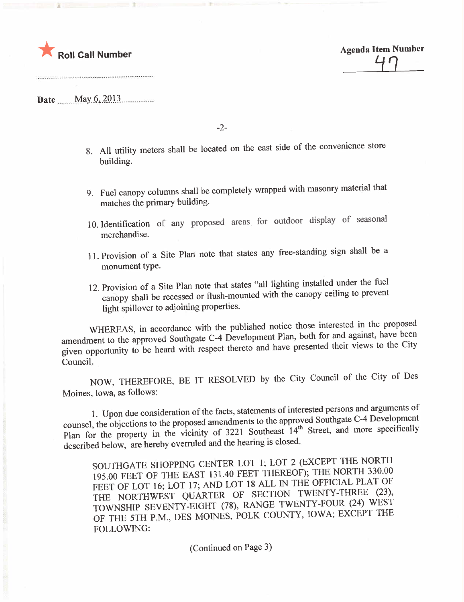

Agenda Item Number  $\overline{\phantom{a}}$ 

Date \_\_\_\_ May 6, 2013

.---- --\_.. ....\_................. -\_.................. .--\_.- .--\_..\_........

-2-

- 8. All utility meters shall be located on the east side of the convenience store building.
- 9. Fuel canopy columns shall be completely wrapped with masonry material that matches the primary building.
- 10. Identification of any proposed areas. for outdoor display of seasonal merchandise.
- 11. Provision of a Site Plan note that states any free-standing sign shall be a monument type.
- 12. Provision of a Site Plan note that states "all lighting installed under the fuel canopy shall be recessed or flush-mounted with the canopy ceiling to prevent light spillover to adjoining properties.

WHEREAS, in accordance with the published notice those interested in the proposed amendment to the approved Southgate C-4 Development Plan, both for and against, have been amendment to the approved Southgate C-4 Development Plan, both for and against, have been and have presented their views to the City given opportunity to be heard with respect thereto and have presented their views to the City CounciL.

NOW, THEREFORE, BE IT RESOLVED by the City Council of the City of Des Moines, Iowa, as follows:

1. Upon due consideration of the facts, statements of interested persons and arguments of counsel, the objections to the proposed amendments to the approved Southgate C-4 Development counsel, the objections to the proposed amendments to the approved Southgate C-4  $\mu$ Plan for the property in the vicinity of  $3221$  Southeast 14th Street, and more specifically specifically specifically specifically specifically specifically specifically specifically specifically specifically specificall described below, are hereby overruled and the hearing is closed.

SOUTHGATE SHOPPING CENTER LOT 1; LOT 2 (EXCEPT THE NORTH 195.00 FEET OF THE EAST 131.40 FEET THEREOF); THE NORTH 330.00 FEET OF LOT 16; LOT 17; AND LOT 18 ALL IN THE OFFICIAL PLAT OF THE NORTHWEST QUARTER OF SECTION TWENTY-THREE (23), TOWNSHIP SEVENTY-EIGHT (78), RANGE TWENTY-FOUR (24) WEST OF THE 5TH P.M., DES MOINES, POLK COUNTY, IOWA; EXCEPT THE FOLLOWING:

(Continued on Page 3)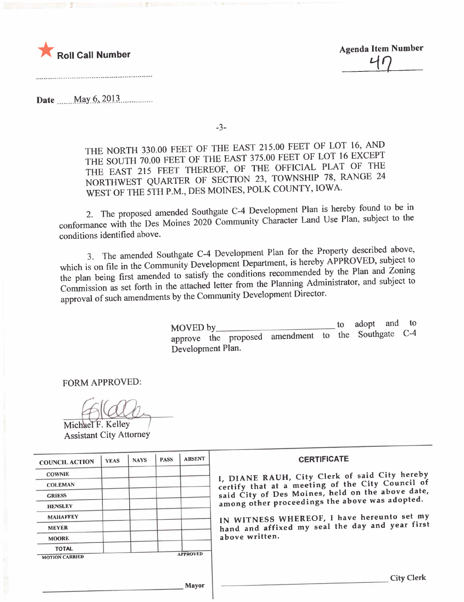

**Agenda Item Number** 

**Date** May  $6, 2013$ 

 $-3-$ 

THE NORTH 330.00 FEET OF THE EAST 215.00 FEET OF LOT 16, AND THE SOUTH 70.00 FEET OF THE EAST 375.00 FEET OF LOT 16 EXCEPT THE EAST 215 FEET THEREOF, OF THE OFFICIAL PLAT OF THE NORTHWEST QUARTER OF SECTION 23, TOWNSHIP 78, RANGE 24 WEST OF THE 5TH P.M., DES MOINES, POLK COUNTY, IOWA.

2. The proposed amended Southgate C-4 Development Plan is hereby found to be in conformance with the Des Moines 2020 Community Character Land Use Plan, subject to the conditions identified above.

3. The amended Southgate C-4 Development Plan for the Property described above, which is on file in the Community Development Department, is hereby APPROVED, subject to the plan being first amended to satisfy the conditions recommended by the Plan and Zoning Commission as set forth in the attached letter from the Planning Administrator, and subject to approval of such amendments by the Community Development Director.

> adopt and to  $\mathfrak{g}$ MOVED by approve the proposed amendment to the Southgate C-4 Development Plan.

**FORM APPROVED:** 

Michael F. Kelley **Assistant City Attorney** 

| <b>COUNCIL ACTION</b> | <b>YEAS</b> | <b>NAYS</b> | <b>PASS</b> | <b>ABSENT</b>   | <b>CERTIFICATE</b>                               |
|-----------------------|-------------|-------------|-------------|-----------------|--------------------------------------------------|
| <b>COWNIE</b>         |             |             |             |                 | I, DIANE RAUH, City Clerk of said City hereby    |
| <b>COLEMAN</b>        |             |             |             |                 | certify that at a meeting of the City Council of |
| <b>GRIESS</b>         |             |             |             |                 | said City of Des Moines, held on the above date, |
| <b>HENSLEY</b>        |             |             |             |                 | among other proceedings the above was adopted.   |
| <b>MAHAFFEY</b>       |             |             |             |                 | IN WITNESS WHEREOF, I have hereunto set my       |
| <b>MEYER</b>          |             |             |             |                 | hand and affixed my seal the day and year first  |
| <b>MOORE</b>          |             |             |             |                 | above written.                                   |
| <b>TOTAL</b>          |             |             |             |                 |                                                  |
| <b>MOTION CARRIED</b> |             |             |             | <b>APPROVED</b> |                                                  |
|                       |             |             |             | Mavor           | <b>City Clerk</b>                                |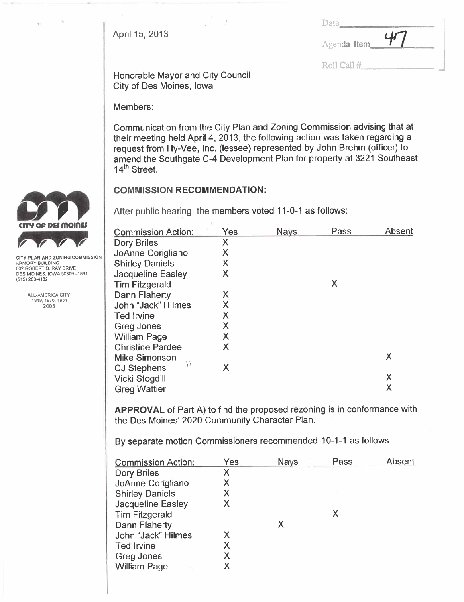| April 15, 2013 | Agenda Item 47 |  |
|----------------|----------------|--|
|                |                |  |

J

Roll Cal #

Honorable Mayor and City Council City of Des Moines, Iowa

Members:

Communication from the City Plan and Zoning Commission advising that at their meeting held April 4, 2013, the following action was taken regarding a request from Hy-Vee, Inc. (lessee) represented by John Brehm (officer) to amend the Southgate C-4 Development Plan for property at 3221 Southeast 14<sup>th</sup> Street.

# COMMISSION RECOMMENDATION:

After public hearing, the members voted 11-0-1 as follows:

| <b>Commission Action:</b> | Yes | <b>Nays</b> | Pass | Absent |
|---------------------------|-----|-------------|------|--------|
| <b>Dory Briles</b>        | Χ   |             |      |        |
| JoAnne Corigliano         | Χ   |             |      |        |
| <b>Shirley Daniels</b>    | Χ   |             |      |        |
| <b>Jacqueline Easley</b>  | Χ   |             |      |        |
| <b>Tim Fitzgerald</b>     |     |             | X    |        |
| <b>Dann Flaherty</b>      | Χ   |             |      |        |
| John "Jack" Hilmes        | X   |             |      |        |
| <b>Ted Irvine</b>         | X   |             |      |        |
| <b>Greg Jones</b>         | Χ   |             |      |        |
| <b>William Page</b>       | Χ   |             |      |        |
| <b>Christine Pardee</b>   | X   |             |      |        |
| <b>Mike Simonson</b>      |     |             |      | Χ      |
| <b>CJ Stephens</b>        | Χ   |             |      |        |
| Vicki Stogdill            |     |             |      | Χ      |
| <b>Greg Wattier</b>       |     |             |      | Χ      |
|                           |     |             |      |        |

APPROVAL of Part A) to find the proposed rezoning is in conformance with the Des Moines' 2020 Community Character Plan.

By separate motion Commissioners recommended 10-1-1 as follows:

| <b>Commission Action:</b> | Yes | <b>Nays</b> | Pass | Absent |
|---------------------------|-----|-------------|------|--------|
| Dory Briles               | X   |             |      |        |
| JoAnne Corigliano         | X   |             |      |        |
| <b>Shirley Daniels</b>    | Χ   |             |      |        |
| Jacqueline Easley         | X   |             |      |        |
| <b>Tim Fitzgerald</b>     |     |             | Х    |        |
| <b>Dann Flaherty</b>      |     |             |      |        |
| John "Jack" Hilmes        | Х   |             |      |        |
| <b>Ted Irvine</b>         | X   |             |      |        |
| Greg Jones                | Χ   |             |      |        |
| <b>William Page</b>       | Χ   |             |      |        |
|                           |     |             |      |        |



CITY PLAN AND ZONING COMMISSION ARMORY BUILDING 602 ROBERT D. RAY DRIVE DES MOINES, IOWA 50309-1881 (515) 283-4182

> ALL-AMERICA CITY 1949.1976,1981 2003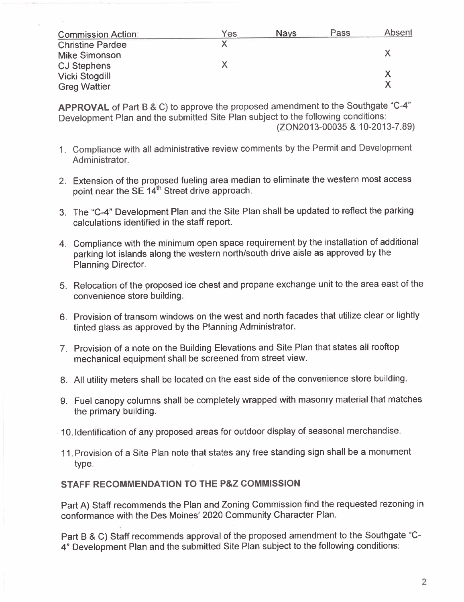| <b>Commission Action:</b> | Yes | <b>Nays</b> | Pass | Absent |
|---------------------------|-----|-------------|------|--------|
| <b>Christine Pardee</b>   |     |             |      |        |
| <b>Mike Simonson</b>      |     |             |      |        |
| <b>CJ Stephens</b>        |     |             |      |        |
| <b>Vicki Stogdill</b>     |     |             |      |        |
| <b>Greg Wattier</b>       |     |             |      |        |

APPROVAL of Part B & C) to approve the proposed amendment to the Southgate "C-4" Development Plan and the submitted Site Plan subject to the following conditions:

(ZON2013-00035 & 10-2013-7.89)

- 1. Compliance with all administrative review comments by the Permit and Development Administrator.
- 2. Extension of the proposed fueling area median to eliminate the western most access point near the SE 14<sup>th</sup> Street drive approach.
- 3. The "C-4" Development Plan and the Site Plan shall be updated to reflect the parking calculations identified in the staff report.
- 4. Compliance with the minimum open space requirement by the installation of additional parking lot islands along the western north/south drive aisle as approved by the Planning Director.
- 5. Relocation of the proposed ice chest and propane exchange unit to the area east of the convenience store building.
- 6. Provision of transom windows on the west and north facades that utilize clear or lightly tinted glass as approved by the P!anning Administrator.
- 7. Provision of a note on the Building Elevations and Site Plan that states all rooftop mechanical equipment shall be screened from street view.
- 8. All utility meters shall be located on the east side of the convenience store building.
- 9. Fuel canopy columns shall be completely wrapped with masonry material that matches the primary building.
- 10. Identification of any proposed areas for outdoor display of seasonal merchandise.
- 11. Provision of a Site Plan note that states any free standing sign shall be a monument type.

#### STAFF RECOMMENDATION TO THE P&Z COMMISSION

Part A) Staff recommends the Plan and Zoning Commission find the requested rezoning in conformance with the Des Moines' 2020 Community Character Plan.

Part B & C) Staff recommends approval of the proposed amendment to the Southgate "C-4" Development Plan and the submitted Site Plan subject to the following conditions: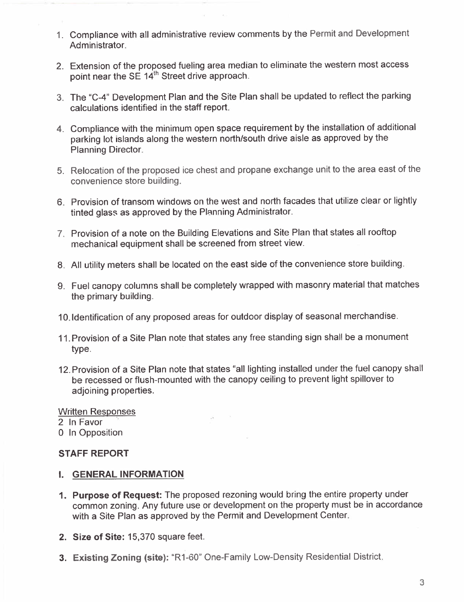- 1. Compliance with all administrative review comments by the Permit and Development Administrator.
- 2. Extension of the proposed fueling area median to eliminate the western most access point near the SE 14<sup>th</sup> Street drive approach.
- 3. The "C-4" Development Plan and the Site Plan shall be updated to reflect the parking calculations identified in the staff report.
- 4. Compliance with the minimum open space requirement by the installation of additional parking lot islands along the western north/south drive aisle as approved by the Planning Director.
- 5. Relocation of the proposed ice chest and propane exchange unit to the area east of the convenience store building.
- 6. Provision of transom windows on the west and north facades that utilize clear or lightly tinted glass as approved by the Planning Administrator.
- 7. Provision of a note on the Building Elevations and Site Plan that states all rooftop mechanical equipment shall be screened from street view.
- 8. All utility meters shall be located on the east side of the convenience store building.
- 9. Fuel canopy columns shall be completely wrapped with masonry material that matches the primary building.
- 1 O.ldentification of any proposed areas for outdoor display of seasonal merchandise.
- 11. Provision of a Site Plan note that states any free standing sign shall be a monument type.
- 12. Provision of a Site Plan note that states "all lighting installed under the fuel canopy shall be recessed or flush-mounted with the canopy ceiling to prevent light spillover to adjoining properties.

Written Responses

2 In Favor

0 In Opposition

# STAFF REPORT

- i. GENERAL INFORMATION
- 1. Purpose of Request: The proposed rezoning would bring the entire property under common zoning. Any future use or development on the property must be in accordance with a Site Plan as approved by the Permit and Development Center.
- 2. Size of Site: 15,370 square feet.
- 3. Existing Zoning (site): "R1-60" One-Family Low-Density Residential District.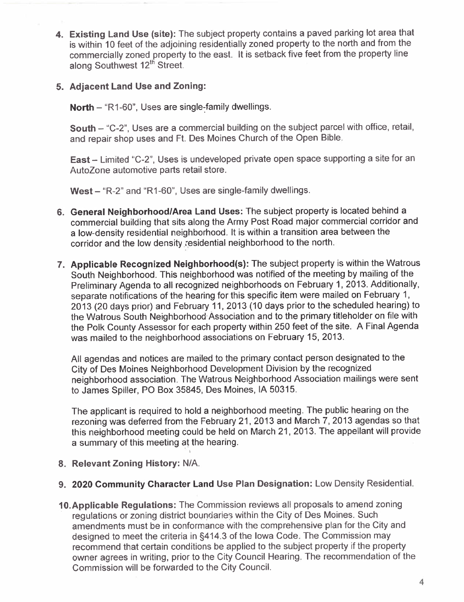4. Existing Land Use (site): The subject property contains a paved parking lot area that is within 10 feet of the adjoining residentially zoned property to the north and from the commercially zoned property to the east. It is setback five feet from the property line along Southwest 12<sup>th</sup> Street.

### 5. Adjacent Land Use and Zoning:

North  $-$  "R1-60", Uses are single-family dwellings.

South - "C-2", Uses are a commercial building on the subject parcel with office, retail, and repair shop uses and Ft. Des Moines Church of the Open Bible.

East - Limited "C-2", Uses is undeveloped private open space supporting a site for an AutoZone automotive parts retail store.

West - "R-2" and "R1-60", Uses are single-family dwellings.

- 6. General Neighborhood/Area Land Uses: The subject property is located behind a commercial building that sits along the Army Post Road major commercial corridor and a low-density residential neighborhood. It is within a transition area between the corridor and the low density residential neighborhood to the north.
- 7. Applicable Recognized Neighborhood(s): The subject property is within the Watrous South Neighborhood. This neighborhood was notified of the meeting by mailing of the Preliminary Agenda to all recognized neighborhoods on February 1, 2013. Additionally, separate notifications of the hearing for this specific item were mailed on February 1, 2013 (20 days prior) and February 11, 2013 (10 days prior to the scheduled hearing) to the Watrous South Neighborhood' Association and to the primary titleholder on file with the Polk County Assessor for each property within 250 feet of the site. A Final Agenda was mailed to the neighborhood associations on February 15, 2013.

All agendas and notices are mailed to the primary contact person designated to the City of Des Moines Neighborhood Development Division by the recognized neighborhood association. The Watrous Neighborhood Association mailings were sent to James Spiller, PO Box 35845, Des Moines, IA 50315.

The applicant is required to hold a neighborhood meeting. The public hearing on the rezoning was deferred from the February 21, 2013 and March 7, 2013 agendas so that this neighborhood meeting could be held on March 21, 2013. The appellant will provide a summary of this meeting at the hearing.

- 8. Relevant Zoning History: N/A.
- 9. 2020 Community Character Land Use Plan Designation: Low Density ResidentiaL.
- 10.Applicable Regulations: The Commission reviews all proposals to amend zoning regulations or zoning district boundaries within the City of Des Moines. Such amendments must be in conformance with the comprehensive plan for the City and designed to meet the criteria in §414.3 of the Iowa Code. The Commission may recommend that certain conditions be applied to the subject property if the property owner agrees in writing, prior to the City Council Hearing. The recommendation of the Commission will be forwarded to the City CounciL.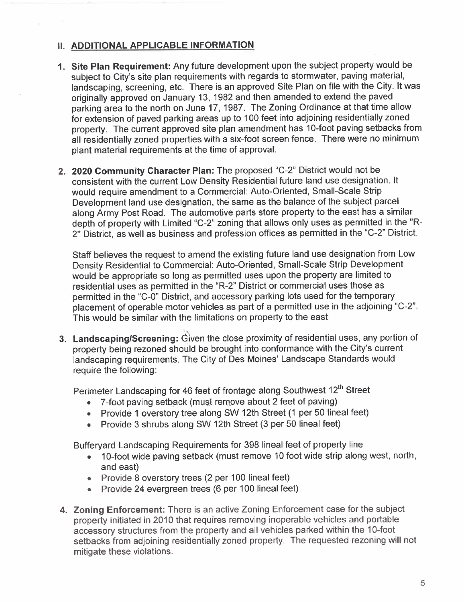# **II. ADDITIONAL APPLICABLE INFORMATION**

- 1. Site Plan Requirement: Any future development upon the subject property would be subject to City's site plan requirements with regards to stormwater, paving material, landscaping, screening, etc. There is an approved Site Plan on file with the City. It was originally approved on January 13, 1982 and then amended to extend the paved parking area to the north on June 17,1987. The Zoning Ordinance at that time allow for extension of paved parking areas up to 100 feet into adjoining residentially zoned property. The current approved site plan amendment has 10-foot paving setbacks from all residentially zoned properties with a six-foot screen fence. There were no minimum plant material requirements at the time of approvaL.
- 2. 2020 Community Character Plan: The proposed "C-2" District would not be consistent with the current Low Density Residential future land use designation. It would require amendment to a Commercial: Auto-Oriented, Small-Scale Strip Development land use designation, thè- same as the balance of the subject parcel along Army Post Road. The automotive parts store property to the east has a similar depth of property with Limited "C-2" zoning that allows only uses as permitted in the "R-2" District, as well as business and profession offices as permitted in the "C-2" District.

Staff believes the request to amend the existing future land use designation from Low Density Residential to Commercial: Auto-Oriented, Small-Scale Strip Development would be appropriate so long as permitted uses upon the property are limited to residential uses as permitted in the "R-2" District or commercial uses those as permitted in the "C-O" District, and accessory parking lots used for the temporary placement of operable motor vehicles as part of a permitted use in the adjoining "C-2". This would be similar with the limitations on property to the east

3. Landscaping/Screening: Given the close proximity of residential uses, any portion of property being rezoned should be brought into conformance with the City's current landscaping requirements. The City of Des Moines' Landscape Standards would require the following:

Perimeter Landscaping for 46 feet of frontage along Southwest 12<sup>th</sup> Street

- . 7-foot paving setback (must remove about 2 feet of paving)
- . Provide 1 overstory tree along SW 12th Street (1 per 50 lineal feet)
- . Provide 3 shrubs along SW 12th Street (3 per 50 lineal feet)

Bufferyard Landscaping Requirements for 398 lineal feet of property line

- . 1 O-foot wide paving setback (must remove 10 foot wide strip along west, north, and east)
- . Provide 8 overstory trees (2 per 100 lineal feet)
- . Provide 24 evergreen trees (6 per 100 lineal feet)
- 4. Zoning Enforcement: There is an active Zoning Enforcement case for the subject property initiated in 2010 that requires removing inoperable vehicles and portable accessory structures from the property and all vehicles parked within the 10-foot setbacks from adjoining residentially zoned property. The requested rezoning will not mitigate these violations.